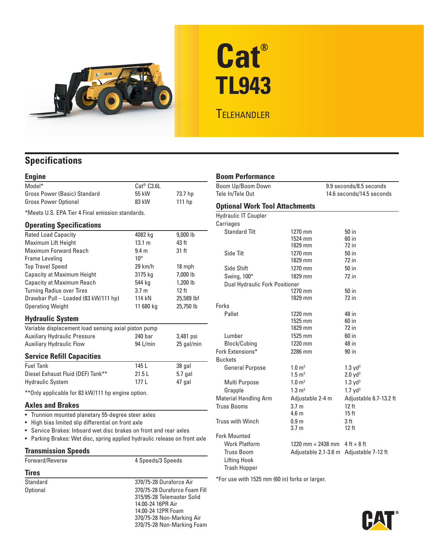

# **Cat® TL943**

## **TELEHANDLER**

### **Specifications**

| <b>Engine</b>                                                            |                                         |                  |
|--------------------------------------------------------------------------|-----------------------------------------|------------------|
| Model*                                                                   | Cat <sup>®</sup> C3.6L                  |                  |
| Gross Power (Basic) Standard                                             | 55 kW                                   | 73.7 hp          |
| <b>Gross Power Optional</b>                                              | 83 kW                                   | $111$ hp         |
| *Meets U.S. EPA Tier 4 Final emission standards.                         |                                         |                  |
| <b>Operating Specifications</b>                                          |                                         |                  |
| <b>Rated Load Capacity</b>                                               | 4082 kg                                 | 9,000 lb         |
| Maximum Lift Height                                                      | 13.1 m                                  | 43 ft            |
| <b>Maximum Forward Reach</b>                                             | 9.4 <sub>m</sub>                        | 31 ft            |
| Frame Leveling                                                           | $10^{\circ}$                            |                  |
| <b>Top Travel Speed</b>                                                  | $29$ km/h                               | 18 mph           |
| <b>Capacity at Maximum Height</b>                                        | 3175 kg                                 | 7,000 lb         |
| <b>Capacity at Maximum Reach</b>                                         | 544 kg                                  | 1,200 lb         |
| <b>Turning Radius over Tires</b>                                         | 3.7 <sub>m</sub>                        | 12 <sub>ft</sub> |
| Drawbar Pull - Loaded (83 kW/111 hp)                                     | 114 kN                                  | 25,589 lbf       |
| <b>Operating Weight</b>                                                  | 11 680 kg                               | 25,750 lb        |
| <b>Hydraulic System</b>                                                  |                                         |                  |
| Variable displacement load sensing axial piston pump                     |                                         |                  |
| <b>Auxiliary Hydraulic Pressure</b>                                      | 240 bar                                 | 3,481 psi        |
| <b>Auxiliary Hydraulic Flow</b>                                          | 94 L/min                                | 25 gal/min       |
| <b>Service Refill Capacities</b>                                         |                                         |                  |
| <b>Fuel Tank</b>                                                         | 145 L                                   | 38 gal           |
| Diesel Exhaust Fluid (DEF) Tank**                                        | 21.5L                                   | 5.7 gal          |
| <b>Hydraulic System</b>                                                  | 177 L                                   | 47 gal           |
| ** Only applicable for 83 kW/111 hp engine option.                       |                                         |                  |
| <b>Axles and Brakes</b>                                                  |                                         |                  |
| • Trunnion mounted planetary 55-degree steer axles                       |                                         |                  |
| • High bias limited slip differential on front axle                      |                                         |                  |
| • Service Brakes: Inboard wet disc brakes on front and rear axles        |                                         |                  |
| Parking Brakes: Wet disc, spring applied hydraulic release on front axle |                                         |                  |
| <b>Transmission Speeds</b>                                               |                                         |                  |
| Forward/Reverse                                                          | 4 Speeds/3 Speeds                       |                  |
| <b>Tires</b>                                                             |                                         |                  |
| Standard                                                                 | 370/75-28 Duraforce Air                 |                  |
| <b>Optional</b>                                                          | 370/75-28 Duraforce Foam Fill           |                  |
|                                                                          | 315/95-28 Telemaster Solid              |                  |
|                                                                          | 14.00-24 16PR Air<br>14.00-24 12PR Foam |                  |
|                                                                          |                                         |                  |

370/75-28 Non-Marking Air 370/75-28 Non-Marking Foam

#### **Boom Performance**

| Boom Up/Boom Down                     | 9.9 seconds/8.5 seconds   |                                         |
|---------------------------------------|---------------------------|-----------------------------------------|
| Tele In/Tele Out                      | 14.6 seconds/14.5 seconds |                                         |
| <b>Optional Work Tool Attachments</b> |                           |                                         |
| <b>Hydraulic IT Coupler</b>           |                           |                                         |
| Carriages                             |                           |                                         |
| <b>Standard Tilt</b>                  | 1270 mm                   | $50$ in                                 |
|                                       | 1524 mm                   | $60$ in                                 |
|                                       | 1829 mm                   | 72 in                                   |
| Side Tilt                             | 1270 mm                   | 50 in                                   |
|                                       | 1829 mm                   | $72$ in                                 |
| Side Shift                            | 1270 mm                   | 50 in                                   |
| Swing, 100°                           | 1829 mm                   | $72$ in                                 |
| Dual Hydraulic Fork Positioner        |                           |                                         |
|                                       | 1270 mm                   | 50 in                                   |
|                                       | 1829 mm                   | $72$ in                                 |
| Forks                                 |                           |                                         |
| Pallet                                | 1220 mm                   | 48 in                                   |
|                                       | 1525 mm<br>1829 mm        | $60$ in<br>$72$ in                      |
|                                       |                           |                                         |
| Lumber                                | 1525 mm                   | 60 in                                   |
| Block/Cubing                          | 1220 mm                   | 48 in                                   |
| Fork Extensions*                      | 2286 mm                   | $90$ in                                 |
| <b>Buckets</b>                        |                           |                                         |
| <b>General Purpose</b>                | $1.0 \; \mathrm{m}^3$     | 1.3 yd <sup>3</sup>                     |
|                                       | $1.5 \text{ m}^3$         | 2.0 yd <sup>3</sup>                     |
| Multi Purpose                         | $1.0 \; \mathrm{m}^3$     | 1.3 yd <sup>3</sup>                     |
| Grapple                               | $1.3 \text{ m}^3$         | 1.7 yd <sup>3</sup>                     |
| <b>Material Handling Arm</b>          | Adjustable 2-4 m          | Adjustable 6.7-13.2 ft                  |
| <b>Truss Booms</b>                    | 3.7 <sub>m</sub>          | 12 ft                                   |
|                                       | 4.6 <sub>m</sub>          | 15 <sub>ft</sub>                        |
| <b>Truss with Winch</b>               | 0.9 <sub>m</sub>          | 3 ft                                    |
|                                       | 3.7 <sub>m</sub>          | $12$ ft                                 |
| <b>Fork Mounted</b>                   |                           |                                         |
| <b>Work Platform</b>                  | 1220 mm $\times$ 2438 mm  | $4$ ft $\times$ 8 ft                    |
| <b>Truss Boom</b>                     |                           | Adjustable 2.1-3.6 m Adjustable 7-12 ft |
| Lifting Hook                          |                           |                                         |
| <b>Trash Hopper</b>                   |                           |                                         |

\*For use with 1525 mm (60 in) forks or larger.